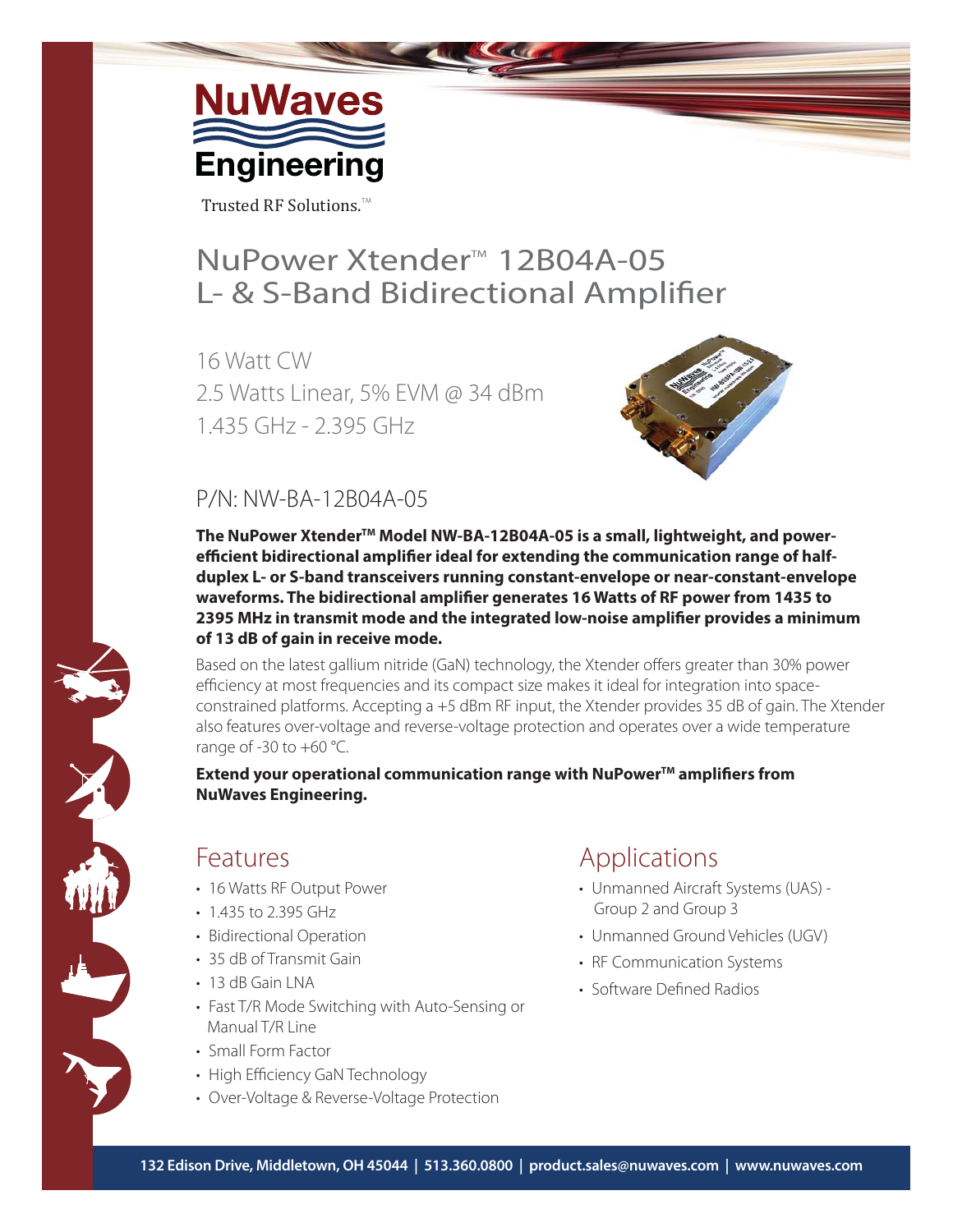

Trusted RF Solutions.<sup>TM</sup>

## NuPower Xtender<sup>™</sup> 12B04A-05 L- & S-Band Bidirectional Amplifier

16 Watt CW 2.5 Watts Linear, 5% EVM @ 34 dBm 1.435 GHz - 2.395 GHz



### P/N: NW-BA-12B04A-05

The NuPower Xtender<sup>™</sup> Model NW-BA-12B04A-05 is a small, lightweight, and powerefficient bidirectional amplifier ideal for extending the communication range of half**duplex L- or S-band transceivers running constant-envelope or near-constant-envelope**  waveforms. The bidirectional amplifier generates 16 Watts of RF power from 1435 to **2395 MHz in transmit mode and the integrated low-noise amplifier provides a minimum of 13 dB of gain in receive mode.**

Based on the latest gallium nitride (GaN) technology, the Xtender offers greater than 30% power efficiency at most frequencies and its compact size makes it ideal for integration into spaceconstrained platforms. Accepting a +5 dBm RF input, the Xtender provides 35 dB of gain. The Xtender also features over-voltage and reverse-voltage protection and operates over a wide temperature range of  $-30$  to  $+60$  °C.

**Extend your operational communication range with NuPower™ amplifiers from NuWaves Engineering.**

### **Features**

- 16 Watts RF Output Power
- 1.435 to 2.395 GHz
- Bidirectional Operation
- 35 dB of Transmit Gain
- 13 dB Gain LNA
- Fast T/R Mode Switching with Auto-Sensing or Manual T/R Line
- Small Form Factor
- High Efficiency GaN Technology
- Over-Voltage & Reverse-Voltage Protection

### Applications

- Unmanned Aircraft Systems (UAS) Group 2 and Group 3
- Unmanned Ground Vehicles (UGV)
- RF Communication Systems
- Software Defined Radios